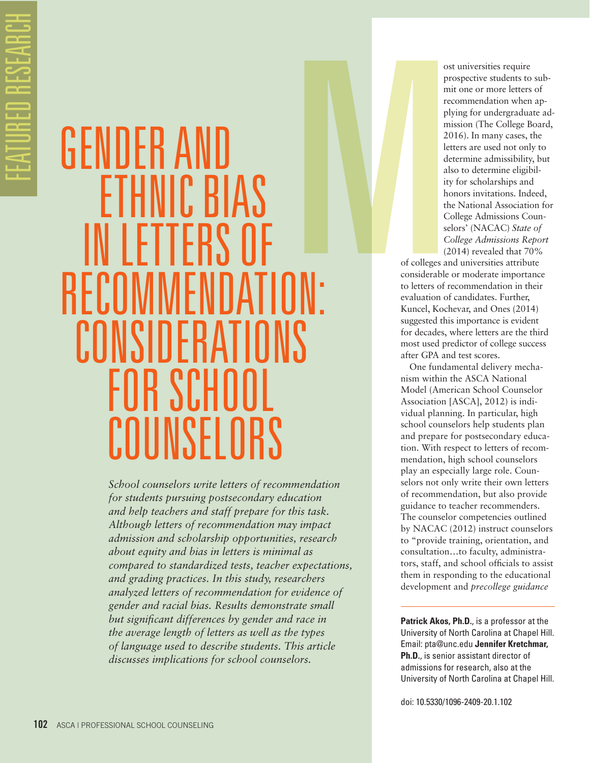# GENDER AI ETHNIC BIAS IN LETTERS OF RECOMMENDATION: CONSIDERATI FOR SCHOO COUNSELORS M

*School counselors write letters of recommendation for students pursuing postsecondary education and help teachers and staff prepare for this task. Although letters of recommendation may impact admission and scholarship opportunities, research about equity and bias in letters is minimal as compared to standardized tests, teacher expectations, and grading practices. In this study, researchers analyzed letters of recommendation for evidence of gender and racial bias. Results demonstrate small but significant differences by gender and race in the average length of letters as well as the types of language used to describe students. This article discusses implications for school counselors.* 

ost universities require prospective students to submit one or more letters of recommendation when applying for undergraduate admission (The College Board, 2016). In many cases, the letters are used not only to determine admissibility, but also to determine eligibility for scholarships and honors invitations. Indeed, the National Association for College Admissions Counselors' (NACAC) *State of College Admissions Report* (2014) revealed that 70%

of colleges and universities attribute considerable or moderate importance to letters of recommendation in their evaluation of candidates. Further, Kuncel, Kochevar, and Ones (2014) suggested this importance is evident for decades, where letters are the third most used predictor of college success after GPA and test scores.

One fundamental delivery mechanism within the ASCA National Model (American School Counselor Association [ASCA], 2012) is individual planning. In particular, high school counselors help students plan and prepare for postsecondary education. With respect to letters of recommendation, high school counselors play an especially large role. Counselors not only write their own letters of recommendation, but also provide guidance to teacher recommenders. The counselor competencies outlined by NACAC (2012) instruct counselors to "provide training, orientation, and consultation…to faculty, administrators, staff, and school officials to assist them in responding to the educational development and *precollege guidance* 

**Patrick Akos, Ph.D.**, is a professor at the University of North Carolina at Chapel Hill. Email: pta@unc.edu **Jennifer Kretchmar, Ph.D.**, is senior assistant director of admissions for research, also at the University of North Carolina at Chapel Hill.

doi: 10.5330/1096-2409-20.1.102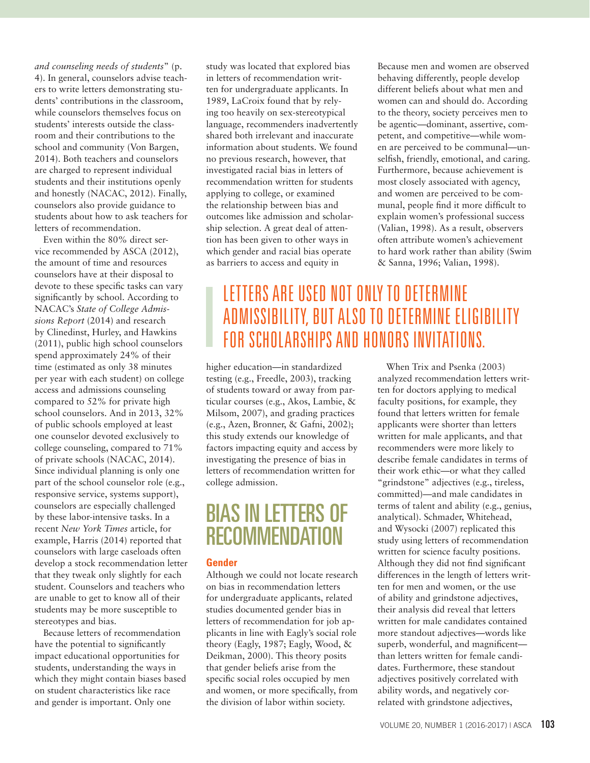*and counseling needs of students*" (p. 4). In general, counselors advise teachers to write letters demonstrating students' contributions in the classroom, while counselors themselves focus on students' interests outside the classroom and their contributions to the school and community (Von Bargen, 2014). Both teachers and counselors are charged to represent individual students and their institutions openly and honestly (NACAC, 2012). Finally, counselors also provide guidance to students about how to ask teachers for letters of recommendation.

Even within the 80% direct service recommended by ASCA (2012), the amount of time and resources counselors have at their disposal to devote to these specific tasks can vary significantly by school. According to NACAC's *State of College Admissions Report* (2014) and research by Clinedinst, Hurley, and Hawkins (2011), public high school counselors spend approximately 24% of their time (estimated as only 38 minutes per year with each student) on college access and admissions counseling compared to 52% for private high school counselors. And in 2013, 32% of public schools employed at least one counselor devoted exclusively to college counseling, compared to 71% of private schools (NACAC, 2014). Since individual planning is only one part of the school counselor role (e.g., responsive service, systems support), counselors are especially challenged by these labor-intensive tasks. In a recent *New York Times* article, for example, Harris (2014) reported that counselors with large caseloads often develop a stock recommendation letter that they tweak only slightly for each student. Counselors and teachers who are unable to get to know all of their students may be more susceptible to stereotypes and bias.

Because letters of recommendation have the potential to significantly impact educational opportunities for students, understanding the ways in which they might contain biases based on student characteristics like race and gender is important. Only one

study was located that explored bias in letters of recommendation written for undergraduate applicants. In 1989, LaCroix found that by relying too heavily on sex-stereotypical language, recommenders inadvertently shared both irrelevant and inaccurate information about students. We found no previous research, however, that investigated racial bias in letters of recommendation written for students applying to college, or examined the relationship between bias and outcomes like admission and scholarship selection. A great deal of attention has been given to other ways in which gender and racial bias operate as barriers to access and equity in

Because men and women are observed behaving differently, people develop different beliefs about what men and women can and should do. According to the theory, society perceives men to be agentic—dominant, assertive, competent, and competitive—while women are perceived to be communal—unselfish, friendly, emotional, and caring. Furthermore, because achievement is most closely associated with agency, and women are perceived to be communal, people find it more difficult to explain women's professional success (Valian, 1998). As a result, observers often attribute women's achievement to hard work rather than ability (Swim & Sanna, 1996; Valian, 1998).

### LETTERS ARE USED NOT ONLY TO DETERMINE ADMISSIBILITY, BUT ALSO TO DETERMINE ELIGIBILITY FOR SCHOLARSHIPS AND HONORS INVITATIONS.

higher education—in standardized testing (e.g., Freedle, 2003), tracking of students toward or away from particular courses (e.g., Akos, Lambie, & Milsom, 2007), and grading practices (e.g., Azen, Bronner, & Gafni, 2002); this study extends our knowledge of factors impacting equity and access by investigating the presence of bias in letters of recommendation written for college admission.

# BIAS IN LETTERS OF **RECOMMENDATION**

#### **Gender**

Although we could not locate research on bias in recommendation letters for undergraduate applicants, related studies documented gender bias in letters of recommendation for job applicants in line with Eagly's social role theory (Eagly, 1987; Eagly, Wood, & Deikman, 2000). This theory posits that gender beliefs arise from the specific social roles occupied by men and women, or more specifically, from the division of labor within society.

When Trix and Psenka (2003) analyzed recommendation letters written for doctors applying to medical faculty positions, for example, they found that letters written for female applicants were shorter than letters written for male applicants, and that recommenders were more likely to describe female candidates in terms of their work ethic—or what they called "grindstone" adjectives (e.g., tireless, committed)—and male candidates in terms of talent and ability (e.g., genius, analytical). Schmader, Whitehead, and Wysocki (2007) replicated this study using letters of recommendation written for science faculty positions. Although they did not find significant differences in the length of letters written for men and women, or the use of ability and grindstone adjectives, their analysis did reveal that letters written for male candidates contained more standout adjectives—words like superb, wonderful, and magnificent than letters written for female candidates. Furthermore, these standout adjectives positively correlated with ability words, and negatively correlated with grindstone adjectives,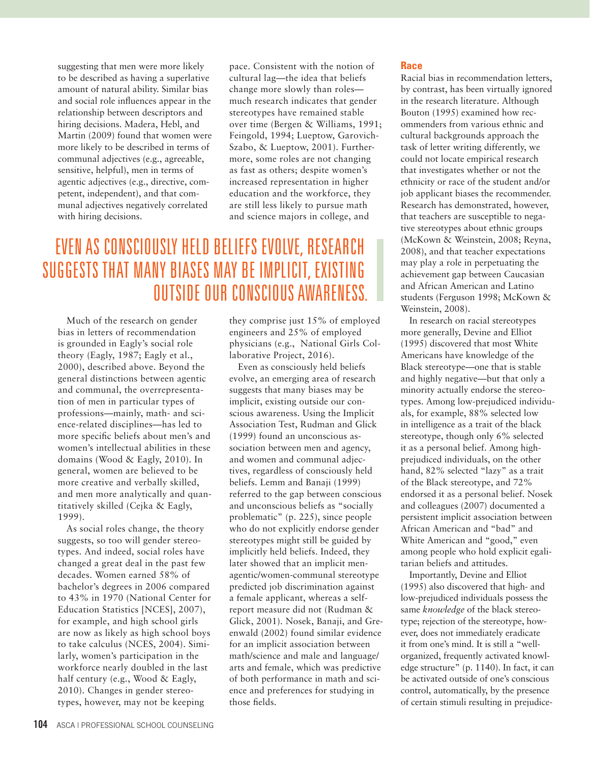suggesting that men were more likely to be described as having a superlative amount of natural ability. Similar bias and social role influences appear in the relationship between descriptors and hiring decisions. Madera, Hebl, and Martin (2009) found that women were more likely to be described in terms of communal adjectives (e.g., agreeable, sensitive, helpful), men in terms of agentic adjectives (e.g., directive, competent, independent), and that communal adjectives negatively correlated with hiring decisions.

pace. Consistent with the notion of cultural lag—the idea that beliefs change more slowly than roles much research indicates that gender stereotypes have remained stable over time (Bergen & Williams, 1991; Feingold, 1994; Lueptow, Garovich-Szabo, & Lueptow, 2001). Furthermore, some roles are not changing as fast as others; despite women's increased representation in higher education and the workforce, they are still less likely to pursue math and science majors in college, and

## EVEN AS CONSCIOUSLY HELD BELIEFS EVOLVE, RESEARCH SUGGESTS THAT MANY BIASES MAY BE IMPLICIT, EXISTING OUTSIDE OUR CONSCIOUS AWARENESS.

Much of the research on gender bias in letters of recommendation is grounded in Eagly's social role theory (Eagly, 1987; Eagly et al., 2000), described above. Beyond the general distinctions between agentic and communal, the overrepresentation of men in particular types of professions—mainly, math- and science-related disciplines—has led to more specific beliefs about men's and women's intellectual abilities in these domains (Wood & Eagly, 2010). In general, women are believed to be more creative and verbally skilled, and men more analytically and quantitatively skilled (Cejka & Eagly, 1999).

As social roles change, the theory suggests, so too will gender stereotypes. And indeed, social roles have changed a great deal in the past few decades. Women earned 58% of bachelor's degrees in 2006 compared to 43% in 1970 (National Center for Education Statistics [NCES], 2007), for example, and high school girls are now as likely as high school boys to take calculus (NCES, 2004). Similarly, women's participation in the workforce nearly doubled in the last half century (e.g., Wood & Eagly, 2010). Changes in gender stereotypes, however, may not be keeping

they comprise just 15% of employed engineers and 25% of employed physicians (e.g., National Girls Collaborative Project, 2016).

Even as consciously held beliefs evolve, an emerging area of research suggests that many biases may be implicit, existing outside our conscious awareness. Using the Implicit Association Test, Rudman and Glick (1999) found an unconscious association between men and agency, and women and communal adjectives, regardless of consciously held beliefs. Lemm and Banaji (1999) referred to the gap between conscious and unconscious beliefs as "socially problematic" (p. 225), since people who do not explicitly endorse gender stereotypes might still be guided by implicitly held beliefs. Indeed, they later showed that an implicit menagentic/women-communal stereotype predicted job discrimination against a female applicant, whereas a selfreport measure did not (Rudman & Glick, 2001). Nosek, Banaji, and Greenwald (2002) found similar evidence for an implicit association between math/science and male and language/ arts and female, which was predictive of both performance in math and science and preferences for studying in those fields.

#### **Race**

Racial bias in recommendation letters, by contrast, has been virtually ignored in the research literature. Although Bouton (1995) examined how recommenders from various ethnic and cultural backgrounds approach the task of letter writing differently, we could not locate empirical research that investigates whether or not the ethnicity or race of the student and/or job applicant biases the recommender. Research has demonstrated, however, that teachers are susceptible to negative stereotypes about ethnic groups (McKown & Weinstein, 2008; Reyna, 2008), and that teacher expectations may play a role in perpetuating the achievement gap between Caucasian and African American and Latino students (Ferguson 1998; McKown & Weinstein, 2008).

In research on racial stereotypes more generally, Devine and Elliot (1995) discovered that most White Americans have knowledge of the Black stereotype—one that is stable and highly negative—but that only a minority actually endorse the stereotypes. Among low-prejudiced individuals, for example, 88% selected low in intelligence as a trait of the black stereotype, though only 6% selected it as a personal belief. Among highprejudiced individuals, on the other hand, 82% selected "lazy" as a trait of the Black stereotype, and 72% endorsed it as a personal belief. Nosek and colleagues (2007) documented a persistent implicit association between African American and "bad" and White American and "good," even among people who hold explicit egalitarian beliefs and attitudes.

Importantly, Devine and Elliot (1995) also discovered that high- and low-prejudiced individuals possess the same *knowledge* of the black stereotype; rejection of the stereotype, however, does not immediately eradicate it from one's mind. It is still a "wellorganized, frequently activated knowledge structure" (p. 1140). In fact, it can be activated outside of one's conscious control, automatically, by the presence of certain stimuli resulting in prejudice-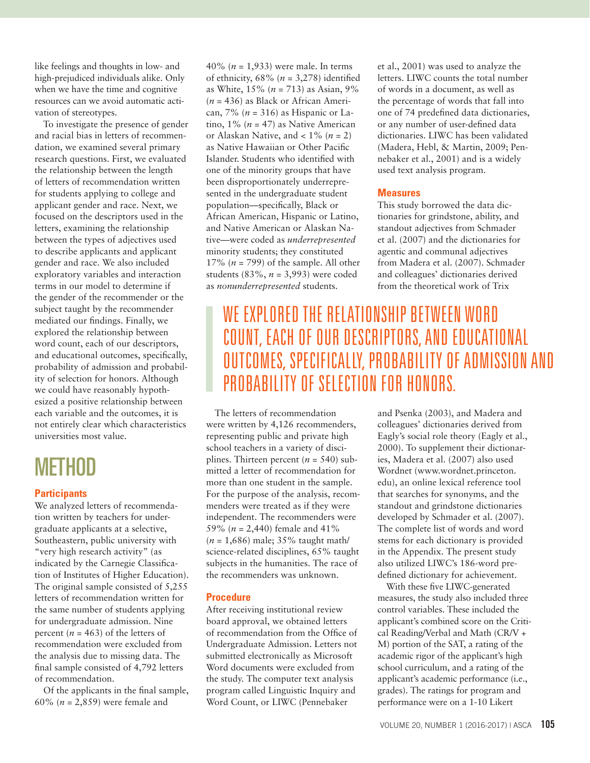like feelings and thoughts in low- and high-prejudiced individuals alike. Only when we have the time and cognitive resources can we avoid automatic activation of stereotypes.

To investigate the presence of gender and racial bias in letters of recommendation, we examined several primary research questions. First, we evaluated the relationship between the length of letters of recommendation written for students applying to college and applicant gender and race. Next, we focused on the descriptors used in the letters, examining the relationship between the types of adjectives used to describe applicants and applicant gender and race. We also included exploratory variables and interaction terms in our model to determine if the gender of the recommender or the subject taught by the recommender mediated our findings. Finally, we explored the relationship between word count, each of our descriptors, and educational outcomes, specifically, probability of admission and probability of selection for honors. Although we could have reasonably hypothesized a positive relationship between each variable and the outcomes, it is not entirely clear which characteristics universities most value.

# METHOD

#### **Participants**

We analyzed letters of recommendation written by teachers for undergraduate applicants at a selective, Southeastern, public university with "very high research activity" (as indicated by the Carnegie Classification of Institutes of Higher Education). The original sample consisted of 5,255 letters of recommendation written for the same number of students applying for undergraduate admission. Nine percent ( $n = 463$ ) of the letters of recommendation were excluded from the analysis due to missing data. The final sample consisted of 4,792 letters of recommendation.

Of the applicants in the final sample, 60% (*n* = 2,859) were female and

40% (*n* = 1,933) were male. In terms of ethnicity,  $68\%$  ( $n = 3,278$ ) identified as White, 15% (*n* = 713) as Asian, 9% (*n* = 436) as Black or African American, 7% (*n* = 316) as Hispanic or Latino,  $1\%$  ( $n = 47$ ) as Native American or Alaskan Native, and < 1% (*n* = 2) as Native Hawaiian or Other Pacific Islander. Students who identified with one of the minority groups that have been disproportionately underrepresented in the undergraduate student population—specifically, Black or African American, Hispanic or Latino, and Native American or Alaskan Native—were coded as *underrepresented*  minority students; they constituted 17% (*n* = 799) of the sample. All other students (83%, *n* = 3,993) were coded as *nonunderrepresented* students.

et al., 2001) was used to analyze the letters. LIWC counts the total number of words in a document, as well as the percentage of words that fall into one of 74 predefined data dictionaries, or any number of user-defined data dictionaries. LIWC has been validated (Madera, Hebl, & Martin, 2009; Pennebaker et al., 2001) and is a widely used text analysis program.

#### **Measures**

This study borrowed the data dictionaries for grindstone, ability, and standout adjectives from Schmader et al. (2007) and the dictionaries for agentic and communal adjectives from Madera et al. (2007). Schmader and colleagues' dictionaries derived from the theoretical work of Trix

## WE EXPLORED THE RELATIONSHIP BETWEEN WORD COUNT, EACH OF OUR DESCRIPTORS, AND EDUCATIONAL OUTCOMES, SPECIFICALLY, PROBABILITY OF ADMISSION AND PROBABILITY OF SELECTION FOR HONORS.

The letters of recommendation were written by 4,126 recommenders, representing public and private high school teachers in a variety of disciplines. Thirteen percent  $(n = 540)$  submitted a letter of recommendation for more than one student in the sample. For the purpose of the analysis, recommenders were treated as if they were independent. The recommenders were 59% (*n* = 2,440) female and 41% (*n* = 1,686) male; 35% taught math/ science-related disciplines, 65% taught subjects in the humanities. The race of the recommenders was unknown.

#### **Procedure**

After receiving institutional review board approval, we obtained letters of recommendation from the Office of Undergraduate Admission. Letters not submitted electronically as Microsoft Word documents were excluded from the study. The computer text analysis program called Linguistic Inquiry and Word Count, or LIWC (Pennebaker

and Psenka (2003), and Madera and colleagues' dictionaries derived from Eagly's social role theory (Eagly et al., 2000). To supplement their dictionaries, Madera et al. (2007) also used Wordnet (www.wordnet.princeton. edu), an online lexical reference tool that searches for synonyms, and the standout and grindstone dictionaries developed by Schmader et al. (2007). The complete list of words and word stems for each dictionary is provided in the Appendix. The present study also utilized LIWC's 186-word predefined dictionary for achievement.

With these five LIWC-generated measures, the study also included three control variables. These included the applicant's combined score on the Critical Reading/Verbal and Math (CR/V + M) portion of the SAT, a rating of the academic rigor of the applicant's high school curriculum, and a rating of the applicant's academic performance (i.e., grades). The ratings for program and performance were on a 1-10 Likert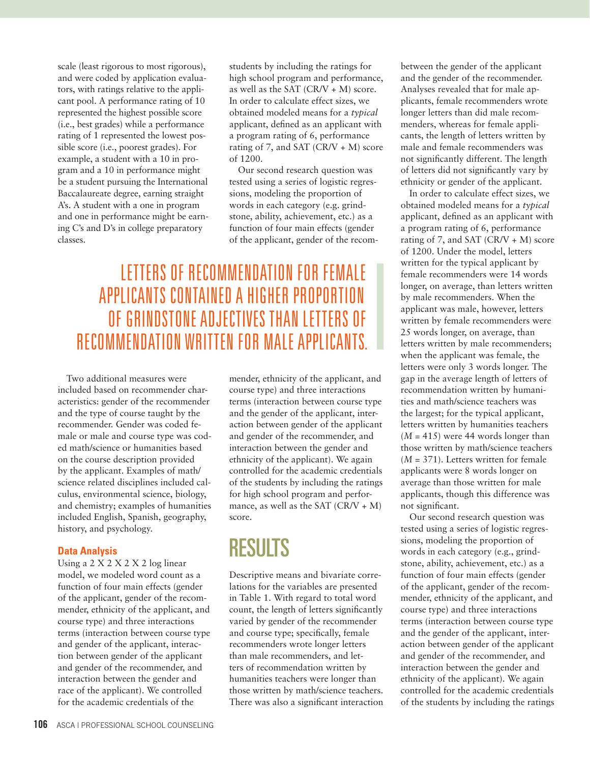scale (least rigorous to most rigorous), and were coded by application evaluators, with ratings relative to the applicant pool. A performance rating of 10 represented the highest possible score (i.e., best grades) while a performance rating of 1 represented the lowest possible score (i.e., poorest grades). For example, a student with a 10 in program and a 10 in performance might be a student pursuing the International Baccalaureate degree, earning straight A's. A student with a one in program and one in performance might be earning C's and D's in college preparatory classes.

students by including the ratings for high school program and performance, as well as the SAT  $(CR/V + M)$  score. In order to calculate effect sizes, we obtained modeled means for a *typical* applicant, defined as an applicant with a program rating of 6, performance rating of 7, and SAT  $(CR/V + M)$  score of 1200.

Our second research question was tested using a series of logistic regressions, modeling the proportion of words in each category (e.g. grindstone, ability, achievement, etc.) as a function of four main effects (gender of the applicant, gender of the recom-

### LETTERS OF RECOMMENDATION FOR FEMALE APPLICANTS CONTAINED A HIGHER PROPORTION OF GRINDSTONE ADJECTIVES THAN LETTERS OF RECOMMENDATION WRITTEN FOR MALE APPLICANTS.

Two additional measures were included based on recommender characteristics: gender of the recommender and the type of course taught by the recommender. Gender was coded female or male and course type was coded math/science or humanities based on the course description provided by the applicant. Examples of math/ science related disciplines included calculus, environmental science, biology, and chemistry; examples of humanities included English, Spanish, geography, history, and psychology.

#### **Data Analysis**

Using a 2 X 2 X 2 X 2 log linear model, we modeled word count as a function of four main effects (gender of the applicant, gender of the recommender, ethnicity of the applicant, and course type) and three interactions terms (interaction between course type and gender of the applicant, interaction between gender of the applicant and gender of the recommender, and interaction between the gender and race of the applicant). We controlled for the academic credentials of the

mender, ethnicity of the applicant, and course type) and three interactions terms (interaction between course type and the gender of the applicant, interaction between gender of the applicant and gender of the recommender, and interaction between the gender and ethnicity of the applicant). We again controlled for the academic credentials of the students by including the ratings for high school program and performance, as well as the SAT  $(CR/V + M)$ score.

# RESULTS

Descriptive means and bivariate correlations for the variables are presented in Table 1. With regard to total word count, the length of letters significantly varied by gender of the recommender and course type; specifically, female recommenders wrote longer letters than male recommenders, and letters of recommendation written by humanities teachers were longer than those written by math/science teachers. There was also a significant interaction between the gender of the applicant and the gender of the recommender. Analyses revealed that for male applicants, female recommenders wrote longer letters than did male recommenders, whereas for female applicants, the length of letters written by male and female recommenders was not significantly different. The length of letters did not significantly vary by ethnicity or gender of the applicant.

In order to calculate effect sizes, we obtained modeled means for a *typical* applicant, defined as an applicant with a program rating of 6, performance rating of 7, and SAT  $(CR/V + M)$  score of 1200. Under the model, letters written for the typical applicant by female recommenders were 14 words longer, on average, than letters written by male recommenders. When the applicant was male, however, letters written by female recommenders were 25 words longer, on average, than letters written by male recommenders; when the applicant was female, the letters were only 3 words longer. The gap in the average length of letters of recommendation written by humanities and math/science teachers was the largest; for the typical applicant, letters written by humanities teachers  $(M = 415)$  were 44 words longer than those written by math/science teachers (*M* = 371). Letters written for female applicants were 8 words longer on average than those written for male applicants, though this difference was not significant.

Our second research question was tested using a series of logistic regressions, modeling the proportion of words in each category (e.g., grindstone, ability, achievement, etc.) as a function of four main effects (gender of the applicant, gender of the recommender, ethnicity of the applicant, and course type) and three interactions terms (interaction between course type and the gender of the applicant, interaction between gender of the applicant and gender of the recommender, and interaction between the gender and ethnicity of the applicant). We again controlled for the academic credentials of the students by including the ratings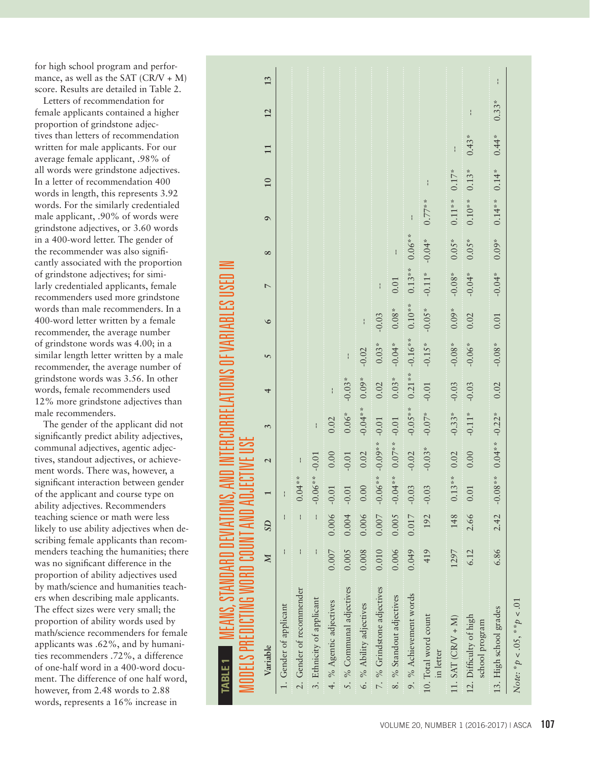for high school program and perfor mance, as well as the SAT  $(CR/V + M)$ score. Results are detailed in Table 2.

Letters of recommendation for female applicants contained a higher proportion of grindstone adjec tives than letters of recommendation written for male applicants. For our average female applicant, .98% of all words were grindstone adjectives. In a letter of recommendation 400 words in length, this represents 3.92 words. For the similarly credentialed male applicant, .90% of words were grindstone adjectives, or 3.60 words in a 400-word letter. The gender of the recommender was also signifi cantly associated with the proportion of grindstone adjectives; for simi larly credentialed applicants, female recommenders used more grindstone words than male recommenders. In a 400-word letter written by a female recommender, the average number of grindstone words was 4.00; in a similar length letter written by a male recommender, the average number of grindstone words was 3.56. In other words, female recommenders used 12% more grindstone adjectives than male recommenders.

The gender of the applicant did not significantly predict ability adjectives, communal adjectives, agentic adjec tives, standout adjectives, or achieve ment words. There was, however, a significant interaction between gender of the applicant and course type on ability adjectives. Recommenders teaching science or math were less likely to use ability adjectives when de scribing female applicants than recom menders teaching the humanities; there was no significant difference in the proportion of ability adjectives used by math/science and humanities teach ers when describing male applicants. The effect sizes were very small; the proportion of ability words used by math/science recommenders for female applicants was .62%, and by humani ties recommenders .72%, a difference of one-half word in a 400-word docu ment. The difference of one half word, however, from 2.48 words to 2.88 words, represents a 16% increase in

| I MEANS, STANDARD DEVIATIONS, A<br>MODELS PREDICTING WORD COUNT AND ADJI<br>TABLE <sub>1</sub> |                         |                |                  |                          |               |          |           |          |                |          |          |               |         |               |    |
|------------------------------------------------------------------------------------------------|-------------------------|----------------|------------------|--------------------------|---------------|----------|-----------|----------|----------------|----------|----------|---------------|---------|---------------|----|
| Variable                                                                                       | $\overline{\mathbb{N}}$ | SD             |                  | $\overline{\mathcal{L}}$ | 3             | 4        | 5         | $\circ$  | $\overline{a}$ | $\infty$ | $\sigma$ | 10            | 11      | 12            | 13 |
| 1. Gender of applicant                                                                         |                         |                | $\mathbf{I}$     |                          |               |          |           |          |                |          |          |               |         |               |    |
| 2. Gender of recommender                                                                       |                         | $\frac{1}{1}$  | **<br>0.04       |                          |               |          |           |          |                |          |          |               |         |               |    |
| 3. Ethnicity of applicant                                                                      |                         |                | $-$ 0.06**       | $-0.01$                  | $\frac{1}{1}$ |          |           |          |                |          |          |               |         |               |    |
| 4. % Agentic adjectives                                                                        | 0.007                   | $0.006 - 0.01$ |                  | 0.00                     | 0.02          |          |           |          |                |          |          |               |         |               |    |
| 5. % Communal adjectives                                                                       | 0.005                   | $0.004 - 0.01$ |                  | $-0.01$                  | $0.06*$       | $-0.03*$ |           |          |                |          |          |               |         |               |    |
| 6. % Ability adjectives                                                                        | 0.008                   | 0.006          | $0.00$           | 0.02                     | $-0.04**$     | $0.09*$  | $-0.02$   |          |                |          |          |               |         |               |    |
| 7. % Grindstone adjectives                                                                     | 0.010                   |                | $0.007 - 0.06**$ | $-0.09**$                | $-0.01$       | 0.02     | $0.03*$   | $-0.03$  |                |          |          |               |         |               |    |
| 8. % Standout adjectives                                                                       | 0.006                   |                | $0.005 - 0.04**$ | $0.07***$                | $-0.01$       | $0.03*$  | $-0.04*$  | $0.08*$  | 0.01           |          |          |               |         |               |    |
| 9. % Achievement words                                                                         | 0.049                   | $0.017 - 0.03$ |                  | $-0.02$                  | $-0.05**$     | $0.21**$ | $-0.16**$ | $0.10**$ | $0.13**$       | $0.06**$ |          |               |         |               |    |
| 10. Total word count<br>in letter                                                              | 419                     |                | $192 - 0.03$     | $-0.03*$                 | $-0.07*$      | $-0.01$  | $-0.15*$  | $-0.05*$ | $-0.11*$       | $-0.04*$ | $0.77**$ | $\frac{1}{1}$ |         |               |    |
| 11. $SAT (CRN + M)$                                                                            | 1297                    |                | * *<br>148  0.13 | 0.02                     | $-0.33*$      | $-0.03$  | $-0.08*$  | $0.09*$  | $-0.08*$       | $0.05*$  | $0.11**$ | $0.17*$       |         |               |    |
| 12. Difficulty of high<br>school program                                                       | 6.12                    |                | 2.66 0.01        | 0.00                     | $-0.11*$      | $-0.03$  | $-0.06*$  | 0.02     | $-0.04*$       | $0.05*$  | $0.10**$ | $0.13*$       | $0.43*$ | $\frac{1}{1}$ |    |
| 13. High school grades                                                                         | 6.86                    | 2.42           | * *<br>$-0.08$   | $0.04**$                 | $-0.22*$      | 0.02     | $-0.08*$  | 0.01     | $-0.04*$       | $0.09*$  | $0.14**$ | $0.14*$       | $0.44*$ | $0.33*$       | ł  |
| Note: $* p < .05, * p < .01$                                                                   |                         |                |                  |                          |               |          |           |          |                |          |          |               |         |               |    |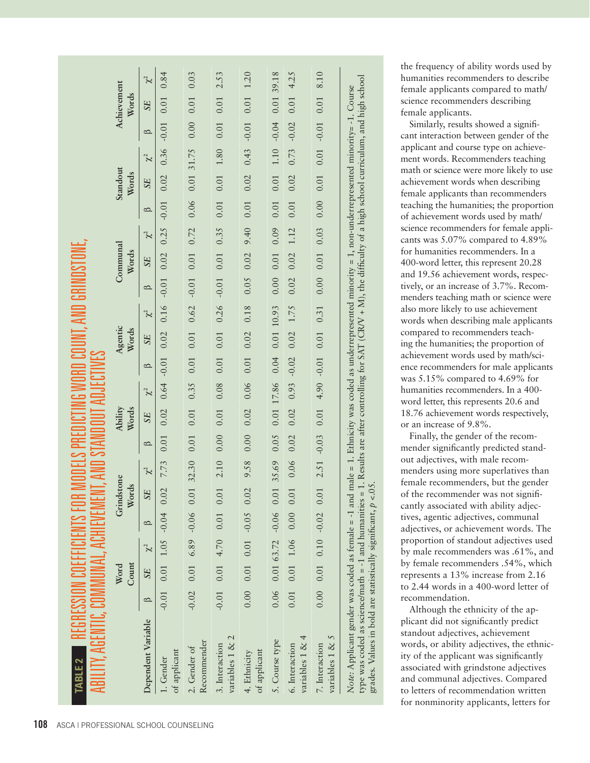| ABILITY, AGENTIC, COMMUNAL, ACHIEVEMENT, /<br>TABLE 2 REGRESSION COEFFICIENTS FOR                                                                                                                                                                                                                                                                                                                          |         |                                      |          |          |                     |             | ELS PREDICTING WORD CO                                                                                                                                                                                                         |                         |          |                            |                  | JNT, AND GF |                                                                 |                      |          |                             |                   |          |               |                      |          |
|------------------------------------------------------------------------------------------------------------------------------------------------------------------------------------------------------------------------------------------------------------------------------------------------------------------------------------------------------------------------------------------------------------|---------|--------------------------------------|----------|----------|---------------------|-------------|--------------------------------------------------------------------------------------------------------------------------------------------------------------------------------------------------------------------------------|-------------------------|----------|----------------------------|------------------|-------------|-----------------------------------------------------------------|----------------------|----------|-----------------------------|-------------------|----------|---------------|----------------------|----------|
|                                                                                                                                                                                                                                                                                                                                                                                                            |         | Count<br>Word                        |          |          | Grindstone<br>Words |             |                                                                                                                                                                                                                                | <b>Ability</b><br>Words |          |                            | Agentic<br>Words |             |                                                                 | Communal<br>Words    |          |                             | Standout<br>Words |          |               | Achievement<br>Words |          |
| Dependent Variable                                                                                                                                                                                                                                                                                                                                                                                         | $\circ$ | <b>SE</b>                            | $\chi^2$ | $\Omega$ |                     | $SE \chi^2$ | $\circ$                                                                                                                                                                                                                        | <b>SE</b>               | $\chi^2$ | $\mathbf{\Omega}$          | <b>SE</b>        | $\chi^2$    | $\mathbf{\Omega}$                                               | SE                   | $\chi^2$ | $\Omega$                    | SE                | $\chi^2$ | $\circ$       | <b>SE</b>            | $\chi^2$ |
| of applicant<br>1. Gender                                                                                                                                                                                                                                                                                                                                                                                  |         |                                      |          |          |                     |             |                                                                                                                                                                                                                                |                         |          |                            |                  |             |                                                                 |                      |          |                             |                   |          |               |                      |          |
| Recommender<br>2. Gender of                                                                                                                                                                                                                                                                                                                                                                                |         | $-0.02$ 0.01 6.89 $-0.06$ 0.01       |          |          |                     | 32.30 0.01  |                                                                                                                                                                                                                                | 0.01                    |          |                            |                  |             | $0.35$ 0.01 0.01 0.62 -0.01 0.01 0.72 0.06 0.01 31.75 0.00 0.01 |                      |          |                             |                   |          |               |                      | 0.03     |
| variables 1 & 2<br>3. Interaction                                                                                                                                                                                                                                                                                                                                                                          |         | $-0.01$ 0.01 4.70 0.01 0.01          |          |          |                     |             | 2.10 0.00                                                                                                                                                                                                                      | 0.01                    |          |                            |                  |             | $0.08$ 0.01 0.01 0.26 -0.01 0.35 0.35 0.01 0.01 1.80 0.01 0.01  |                      |          |                             |                   |          |               | 0.01                 | 2.53     |
| of applicant<br>4. Ethnicity                                                                                                                                                                                                                                                                                                                                                                               |         | $0.00$ $0.01$ $0.01$ $-0.05$ $0.02$  |          |          |                     |             | 9.20 T 1 0.01 O 101 O 101 O 101 O 101 O 101 O 101 O 101 O 101 O 101 O 101 O 101 O 101 O 101 O 101 O 101 O 101 O 101 O 101 O 101 O 101 O 101 O 101 O 101 O 101 O 101 O 101 O 101 O 101 O 101 O 101 O 101 O 101 O 101 O 101 O 10 |                         |          |                            |                  |             |                                                                 |                      |          |                             |                   |          |               |                      |          |
| 5. Course type                                                                                                                                                                                                                                                                                                                                                                                             |         | $0.06$ $0.01$ $63.72$ $-0.06$ $0.01$ |          |          |                     | 35.69 0.05  |                                                                                                                                                                                                                                |                         |          | 0.01 17.86 0.04 0.01 10.93 |                  |             |                                                                 | $0.00$ $0.01$ $0.09$ |          |                             | $0.01$ 0.01       |          | 1.10 - 0.04   | 0.0139.18            |          |
| variables 1 & 4<br>6. Interaction                                                                                                                                                                                                                                                                                                                                                                          |         | $0.01$ $0.01$ $1.06$ $0.00$ $0.01$   |          |          |                     |             | $0.06$ 0.02                                                                                                                                                                                                                    |                         |          | $0.02$ 0.93 $-0.02$        | $0.02$ 1.75      |             |                                                                 | $0.02$ $0.02$        | 1.12     | $0.01$ $0.02$               |                   |          | $0.73 - 0.02$ | 0.014.25             |          |
| variables 1 & 5<br>7. Interaction                                                                                                                                                                                                                                                                                                                                                                          |         | $0.00$ $0.01$ $0.10$ $-0.02$ $0.01$  |          |          |                     |             | $2.51 - 0.03$                                                                                                                                                                                                                  | 0.01                    |          | $4.90 - 0.01$ 0.01         |                  | 0.31        |                                                                 | $0.00$ $0.01$ $0.03$ |          | $0.00$ $0.01$ $0.01$ $0.01$ |                   |          |               | $0.01$               | 8.10     |
| type was coded as science/math = -1 and humanities = 1. Results are after controlling for SAT (CRV + M), the difficulty of a high school curriculum, and high school<br>Note: Applicant gender was coded as female = -1 and male = 1. Ethnicity was coded as underrepresented minority = 1, non-underrepresented minority = -1. Course<br>grades. Values in bold are statistically significant, $p < 0.05$ |         |                                      |          |          |                     |             |                                                                                                                                                                                                                                |                         |          |                            |                  |             |                                                                 |                      |          |                             |                   |          |               |                      |          |

the frequency of ability words used by humanities recommenders to describe female applicants compared to math/ science recommenders describing female applicants.

Similarly, results showed a signifi cant interaction between gender of the applicant and course type on achieve ment words. Recommenders teaching math or science were more likely to use achievement words when describing female applicants than recommenders teaching the humanities; the proportion of achievement words used by math/ science recommenders for female appli cants was 5.07% compared to 4.89% for humanities recommenders. In a 400-word letter, this represent 20.28 and 19.56 achievement words, respec tively, or an increase of 3.7%. Recom menders teaching math or science were also more likely to use achievement words when describing male applicants compared to recommenders teach ing the humanities; the proportion of achievement words used by math/sci ence recommenders for male applicants was 5.15% compared to 4.69% for humanities recommenders. In a 400 word letter, this represents 20.6 and 18.76 achievement words respectively, or an increase of 9.8%.

Finally, the gender of the recom mender significantly predicted stand out adjectives, with male recom menders using more superlatives than female recommenders, but the gender of the recommender was not signifi cantly associated with ability adjec tives, agentic adjectives, communal adjectives, or achievement words. The proportion of standout adjectives used by male recommenders was .61%, and by female recommenders .54%, which represents a 13% increase from 2.16 to 2.44 words in a 400-word letter of recommendation.

Although the ethnicity of the ap plicant did not significantly predict standout adjectives, achievement words, or ability adjectives, the ethnic ity of the applicant was significantly associated with grindstone adjectives and communal adjectives. Compared to letters of recommendation written for nonminority applicants, letters for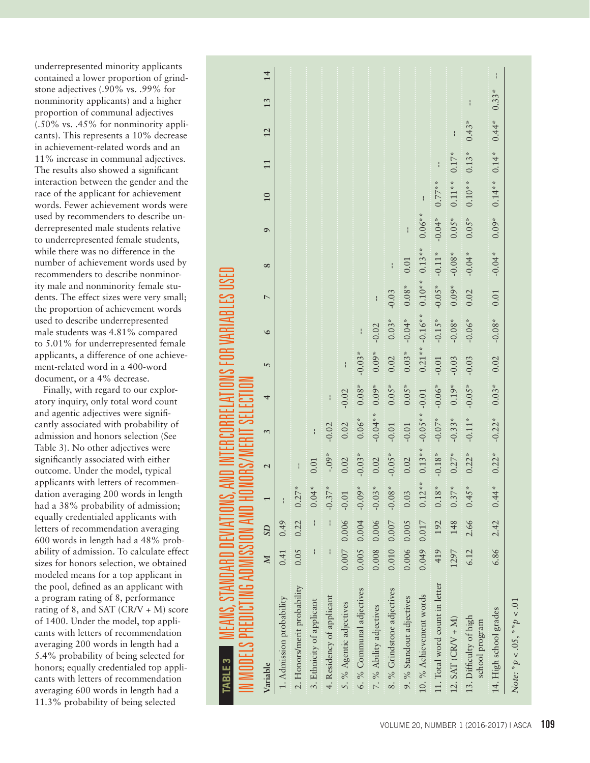underrepresented minority applicants contained a lower proportion of grind stone adjectives (.90% vs. .99% for nonminority applicants) and a higher proportion of communal adjectives (.50% vs. .45% for nonminority appli cants). This represents a 10% decrease in achievement-related words and an 11% increase in communal adjectives. The results also showed a significant interaction between the gender and the race of the applicant for achievement words. Fewer achievement words were used by recommenders to describe un derrepresented male students relative to underrepresented female students, while there was no difference in the number of achievement words used by recommenders to describe nonminor ity male and nonminority female stu dents. The effect sizes were very small; the proportion of achievement words used to describe underrepresented male students was 4.81% compared to 5.01% for underrepresented female applicants, a difference of one achieve ment-related word in a 400-word document, or a 4% decrease.

Finally, with regard to our explor atory inquiry, only total word count and agentic adjectives were signifi cantly associated with probability of admission and honors selection (See Table 3). No other adjectives were significantly associated with either outcome. Under the model, typical applicants with letters of recommen dation averaging 200 words in length had a 38% probability of admission; equally credentialed applicants with letters of recommendation averaging 600 words in length had a 48% prob ability of admission. To calculate effect sizes for honors selection, we obtained modeled means for a top applicant in the pool, defined as an applicant with a program rating of 8, performance rating of 8, and SAT (CR/V + M) score of 1400. Under the model, top appli cants with letters of recommendation averaging 200 words in length had a 5.4% probability of being selected for honors; equally credentialed top appli cants with letters of recommendation averaging 600 words in length had a 11.3% probability of being selected

| IN MODELS PREDICTING ADMISSION AND HOI<br>TABLE 3 MEANS, STANDARD DEVIATIONS, / |              |                          |          |                          |           | SELECTION     |          |           | ABLES I        |           |                                                                                                                 |           |               |         |         |    |
|---------------------------------------------------------------------------------|--------------|--------------------------|----------|--------------------------|-----------|---------------|----------|-----------|----------------|-----------|-----------------------------------------------------------------------------------------------------------------|-----------|---------------|---------|---------|----|
| Variable                                                                        | $\mathbb{Z}$ | SD                       |          | $\overline{\mathcal{L}}$ | 3         | 4             | 5        | $\circ$   | $\overline{ }$ | $\infty$  | $\sigma$                                                                                                        | 10        | $\mathbf{11}$ | 12      | 13      | 14 |
| 1. Admission probability                                                        | 0.41         | 0.49                     |          |                          |           |               |          |           |                |           |                                                                                                                 |           |               |         |         |    |
| 2. Honors/merit probability                                                     |              | $0.05$ 0.22              | $0.27*$  |                          |           |               |          |           |                |           |                                                                                                                 |           |               |         |         |    |
| 3. Ethnicity of applicant                                                       |              | $\mathbf{I}$             | $0.04*$  | 0.01                     | I         |               |          |           |                |           |                                                                                                                 |           |               |         |         |    |
| 4. Residency of applicant                                                       |              | $\frac{1}{1}$            | $-0.37*$ | $-0.0$                   | $-0.02$   | $\frac{1}{1}$ |          |           |                |           |                                                                                                                 |           |               |         |         |    |
| 5. % Agentic adjectives                                                         |              | $0.007$ $0.006$ $-0.01$  |          | 0.02                     | 0.02      | $-0.02$       |          |           |                |           |                                                                                                                 |           |               |         |         |    |
| 6. % Communal adjectives                                                        |              | $0.005$ 0.004            | $-0.09*$ | $-0.03*$                 | $0.06*$   | $0.08*$       | $-0.03*$ |           |                |           | a a conserva a conserva a conserva a conserva a conserva a conserva a conserva a conserva a conserva a conserva |           |               |         |         |    |
| 7. % Ability adjectives                                                         |              | $0.008$ $0.006$ $-0.03*$ |          | 0.02                     | $-0.04**$ | $0.09*$       | $0.09*$  | $-0.02$   | $\frac{1}{1}$  |           |                                                                                                                 |           |               |         |         |    |
| 8. % Grindstone adjectives                                                      |              | $0.010$ $0.007$          | $-0.08*$ | $-0.05*$                 | $-0.01$   | $0.05*$       | 0.02     | $0.03*$   | $-0.03$        |           |                                                                                                                 |           |               |         |         |    |
| 9. % Standout adjectives                                                        | 0.006 0.005  |                          | 0.03     | 0.02                     | $-0.01$   | $0.05*$       | $0.03*$  | $-0.04*$  | $0.08\,^*$     | 0.01      |                                                                                                                 |           |               |         |         |    |
| 10. % Achievement words                                                         |              | 0.049 0.017              | $0.12*$  | $0.13***$                | $-0.05**$ | $-0.01$       | $0.21**$ | $-0.16**$ | $0.10**$       | $0.13***$ | $0.06***$                                                                                                       |           |               |         |         |    |
| 11. Total word count in letter                                                  | 419          | 192                      | $0.18*$  | $-0.18*$                 | $-0.07*$  | $-0.06*$      | $-0.01$  | $-0.15*$  | $-0.05*$       | $-0.11*$  | $-0.04*$                                                                                                        | $0.77**$  |               |         |         |    |
| $12. SAT (CRV + M)$                                                             | 1297         | 148                      | $0.37*$  | $0.27*$                  | $-0.33*$  | $0.19*$       | $-0.03$  | $-0.08*$  | $0.09*$        | $-0.08*$  | $0.05*$                                                                                                         | $0.11**$  | $0.17*$       |         |         |    |
| 13. Difficulty of high<br>school program                                        | 6.12         | 2.66                     | $0.45*$  | $0.22*$                  | $-0.11*$  | $-0.05*$      | $-0.03$  | $-0.06*$  | 0.02           | $-0.04*$  | $0.05*$                                                                                                         | $0.10**$  | $0.13*$       | $0.43*$ | ł       |    |
| 14. High school grades                                                          | 6.86         | 2.42                     | $0.44*$  | $0.22*$                  | $-0.22*$  | $0.03*$       | 0.02     | $-0.08*$  | 0.01           | $-0.04*$  | $0.09*$                                                                                                         | $0.14***$ | $0.14*$       | $0.44*$ | $0.33*$ | ł  |
| Note: $* p < .05, *p < .01$                                                     |              |                          |          |                          |           |               |          |           |                |           |                                                                                                                 |           |               |         |         |    |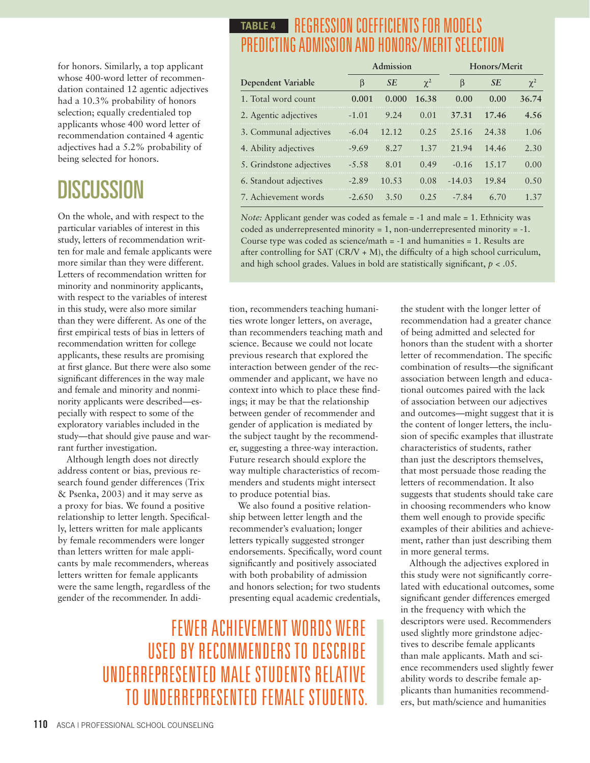for honors. Similarly, a top applicant whose 400-word letter of recommendation contained 12 agentic adjectives had a 10.3% probability of honors selection; equally credentialed top applicants whose 400 word letter of recommendation contained 4 agentic adjectives had a 5.2% probability of being selected for honors.

# **DISCUSSION**

On the whole, and with respect to the particular variables of interest in this study, letters of recommendation written for male and female applicants were more similar than they were different. Letters of recommendation written for minority and nonminority applicants, with respect to the variables of interest in this study, were also more similar than they were different. As one of the first empirical tests of bias in letters of recommendation written for college applicants, these results are promising at first glance. But there were also some significant differences in the way male and female and minority and nonminority applicants were described—especially with respect to some of the exploratory variables included in the study—that should give pause and warrant further investigation.

Although length does not directly address content or bias, previous research found gender differences (Trix & Psenka, 2003) and it may serve as a proxy for bias. We found a positive relationship to letter length. Specifically, letters written for male applicants by female recommenders were longer than letters written for male applicants by male recommenders, whereas letters written for female applicants were the same length, regardless of the gender of the recommender. In addi-

### REGRESSION COEFFICIENTS FOR MODELS **TABLE 4**PREDICTING ADMISSION AND HONORS/MERIT SELECTION

|                          |          | Admission |          |          | Honors/Merit |          |
|--------------------------|----------|-----------|----------|----------|--------------|----------|
| Dependent Variable       | B        | <b>SE</b> | $\chi^2$ | β        | <b>SE</b>    | $\chi^2$ |
| 1. Total word count      | 0.001    | 0.000     | 16.38    | 0.00     | 0.00         | 36.74    |
| 2. Agentic adjectives    | $-1.01$  | 9.24      | 0.01     | 37.31    | 17.46        | 4.56     |
| 3. Communal adjectives   | $-6.04$  | 12.12     | 0.25     | 25.16    | 24.38        | 1.06     |
| 4. Ability adjectives    | $-9.69$  | 8.27      | 1.37     | 21.94    | 14.46        | 2.30     |
| 5. Grindstone adjectives | $-5.58$  | 8.01      | 0.49     | $-0.16$  | 15.17        | 0.00     |
| 6. Standout adjectives   | $-2.89$  | 10.53     | 0.08     | $-14.03$ | 19.84        | 0.50     |
| 7. Achievement words     | $-2.650$ | 3.50      | 0.25     | -7.84    | 6.70         | 1 37     |

*Note:* Applicant gender was coded as female = -1 and male = 1. Ethnicity was coded as underrepresented minority  $= 1$ , non-underrepresented minority  $= -1$ . Course type was coded as science/math = -1 and humanities = 1. Results are after controlling for SAT (CR/V  $+$  M), the difficulty of a high school curriculum, and high school grades. Values in bold are statistically significant,  $p < .05$ .

tion, recommenders teaching humanities wrote longer letters, on average, than recommenders teaching math and science. Because we could not locate previous research that explored the interaction between gender of the recommender and applicant, we have no context into which to place these findings; it may be that the relationship between gender of recommender and gender of application is mediated by the subject taught by the recommender, suggesting a three-way interaction. Future research should explore the way multiple characteristics of recommenders and students might intersect to produce potential bias.

We also found a positive relationship between letter length and the recommender's evaluation; longer letters typically suggested stronger endorsements. Specifically, word count significantly and positively associated with both probability of admission and honors selection; for two students presenting equal academic credentials,

FEWER ACHIEVEMENT WORDS WERE USED BY RECOMMENDERS TO DESCRIBE UNDERREPRESENTED MALE STUDENTS RELATIVE TO UNDERREPRESENTED FEMALE STUDENTS. the student with the longer letter of recommendation had a greater chance of being admitted and selected for honors than the student with a shorter letter of recommendation. The specific combination of results—the significant association between length and educational outcomes paired with the lack of association between our adjectives and outcomes—might suggest that it is the content of longer letters, the inclusion of specific examples that illustrate characteristics of students, rather than just the descriptors themselves, that most persuade those reading the letters of recommendation. It also suggests that students should take care in choosing recommenders who know them well enough to provide specific examples of their abilities and achievement, rather than just describing them in more general terms.

Although the adjectives explored in this study were not significantly correlated with educational outcomes, some significant gender differences emerged in the frequency with which the descriptors were used. Recommenders used slightly more grindstone adjectives to describe female applicants than male applicants. Math and science recommenders used slightly fewer ability words to describe female applicants than humanities recommenders, but math/science and humanities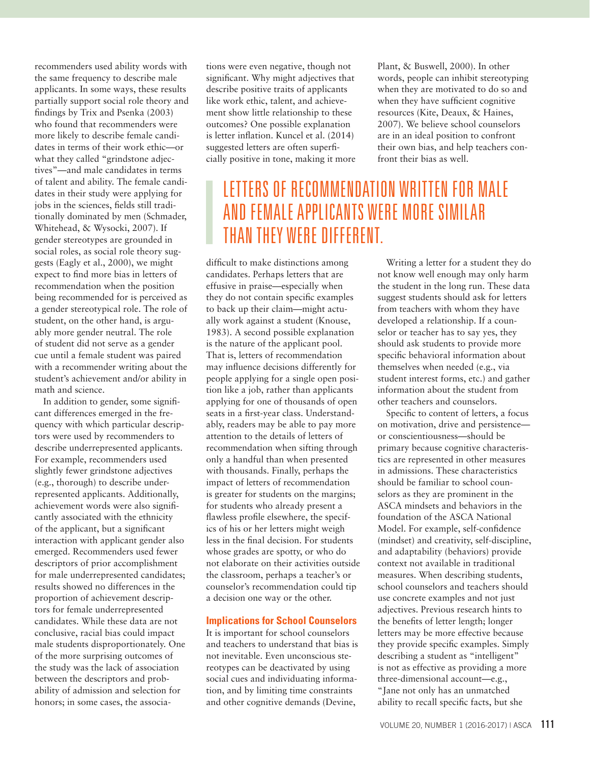recommenders used ability words with the same frequency to describe male applicants. In some ways, these results partially support social role theory and findings by Trix and Psenka (2003) who found that recommenders were more likely to describe female candidates in terms of their work ethic—or what they called "grindstone adjectives"—and male candidates in terms of talent and ability. The female candidates in their study were applying for jobs in the sciences, fields still traditionally dominated by men (Schmader, Whitehead, & Wysocki, 2007). If gender stereotypes are grounded in social roles, as social role theory suggests (Eagly et al., 2000), we might expect to find more bias in letters of recommendation when the position being recommended for is perceived as a gender stereotypical role. The role of student, on the other hand, is arguably more gender neutral. The role of student did not serve as a gender cue until a female student was paired with a recommender writing about the student's achievement and/or ability in math and science.

In addition to gender, some significant differences emerged in the frequency with which particular descriptors were used by recommenders to describe underrepresented applicants. For example, recommenders used slightly fewer grindstone adjectives (e.g., thorough) to describe underrepresented applicants. Additionally, achievement words were also significantly associated with the ethnicity of the applicant, but a significant interaction with applicant gender also emerged. Recommenders used fewer descriptors of prior accomplishment for male underrepresented candidates; results showed no differences in the proportion of achievement descriptors for female underrepresented candidates. While these data are not conclusive, racial bias could impact male students disproportionately. One of the more surprising outcomes of the study was the lack of association between the descriptors and probability of admission and selection for honors; in some cases, the associations were even negative, though not significant. Why might adjectives that describe positive traits of applicants like work ethic, talent, and achievement show little relationship to these outcomes? One possible explanation is letter inflation. Kuncel et al. (2014) suggested letters are often superficially positive in tone, making it more

Plant, & Buswell, 2000). In other words, people can inhibit stereotyping when they are motivated to do so and when they have sufficient cognitive resources (Kite, Deaux, & Haines, 2007). We believe school counselors are in an ideal position to confront their own bias, and help teachers confront their bias as well.

## LETTERS OF RECOMMENDATION WRITTEN FOR MALE AND FEMALE APPLICANTS WERE MORE SIMILAR THAN THEY WERE DIFFERENT.

difficult to make distinctions among candidates. Perhaps letters that are effusive in praise—especially when they do not contain specific examples to back up their claim—might actually work against a student (Knouse, 1983). A second possible explanation is the nature of the applicant pool. That is, letters of recommendation may influence decisions differently for people applying for a single open position like a job, rather than applicants applying for one of thousands of open seats in a first-year class. Understandably, readers may be able to pay more attention to the details of letters of recommendation when sifting through only a handful than when presented with thousands. Finally, perhaps the impact of letters of recommendation is greater for students on the margins; for students who already present a flawless profile elsewhere, the specifics of his or her letters might weigh less in the final decision. For students whose grades are spotty, or who do not elaborate on their activities outside the classroom, perhaps a teacher's or counselor's recommendation could tip a decision one way or the other.

#### **Implications for School Counselors**

It is important for school counselors and teachers to understand that bias is not inevitable. Even unconscious stereotypes can be deactivated by using social cues and individuating information, and by limiting time constraints and other cognitive demands (Devine,

Writing a letter for a student they do not know well enough may only harm the student in the long run. These data suggest students should ask for letters from teachers with whom they have developed a relationship. If a counselor or teacher has to say yes, they should ask students to provide more specific behavioral information about themselves when needed (e.g., via student interest forms, etc.) and gather information about the student from other teachers and counselors.

Specific to content of letters, a focus on motivation, drive and persistence or conscientiousness—should be primary because cognitive characteristics are represented in other measures in admissions. These characteristics should be familiar to school counselors as they are prominent in the ASCA mindsets and behaviors in the foundation of the ASCA National Model. For example, self-confidence (mindset) and creativity, self-discipline, and adaptability (behaviors) provide context not available in traditional measures. When describing students, school counselors and teachers should use concrete examples and not just adjectives. Previous research hints to the benefits of letter length; longer letters may be more effective because they provide specific examples. Simply describing a student as "intelligent" is not as effective as providing a more three-dimensional account—e.g., "Jane not only has an unmatched ability to recall specific facts, but she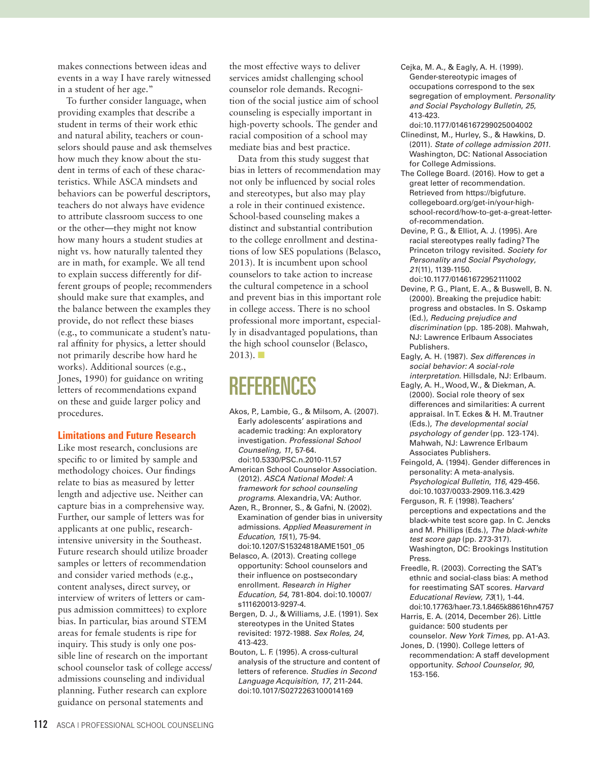makes connections between ideas and events in a way I have rarely witnessed in a student of her age."

To further consider language, when providing examples that describe a student in terms of their work ethic and natural ability, teachers or counselors should pause and ask themselves how much they know about the student in terms of each of these characteristics. While ASCA mindsets and behaviors can be powerful descriptors, teachers do not always have evidence to attribute classroom success to one or the other—they might not know how many hours a student studies at night vs. how naturally talented they are in math, for example. We all tend to explain success differently for different groups of people; recommenders should make sure that examples, and the balance between the examples they provide, do not reflect these biases (e.g., to communicate a student's natural affinity for physics, a letter should not primarily describe how hard he works). Additional sources (e.g., Jones, 1990) for guidance on writing letters of recommendations expand on these and guide larger policy and procedures.

#### **Limitations and Future Research**

Like most research, conclusions are specific to or limited by sample and methodology choices. Our findings relate to bias as measured by letter length and adjective use. Neither can capture bias in a comprehensive way. Further, our sample of letters was for applicants at one public, researchintensive university in the Southeast. Future research should utilize broader samples or letters of recommendation and consider varied methods (e.g., content analyses, direct survey, or interview of writers of letters or campus admission committees) to explore bias. In particular, bias around STEM areas for female students is ripe for inquiry. This study is only one possible line of research on the important school counselor task of college access/ admissions counseling and individual planning. Futher research can explore guidance on personal statements and

the most effective ways to deliver services amidst challenging school counselor role demands. Recognition of the social justice aim of school counseling is especially important in high-poverty schools. The gender and racial composition of a school may mediate bias and best practice.

Data from this study suggest that bias in letters of recommendation may not only be influenced by social roles and stereotypes, but also may play a role in their continued existence. School-based counseling makes a distinct and substantial contribution to the college enrollment and destinations of low SES populations (Belasco, 2013). It is incumbent upon school counselors to take action to increase the cultural competence in a school and prevent bias in this important role in college access. There is no school professional more important, especially in disadvantaged populations, than the high school counselor (Belasco,  $2013$ ).  $\blacksquare$ 

# REFERENCES

- Akos, P., Lambie, G., & Milsom, A. (2007). Early adolescents' aspirations and academic tracking: An exploratory investigation. *Professional School Counseling, 11*, 57-64.
- doi:10.5330/PSC.n.2010-11.57 American School Counselor Association. (2012). *ASCA National Model: A framework for school counseling programs*. Alexandria, VA: Author.
- Azen, R., Bronner, S., & Gafni, N. (2002). Examination of gender bias in university admissions. *Applied Measurement in Education*, *15*(1), 75-94. doi:10.1207/S15324818AME1501\_05
- Belasco, A. (2013). Creating college opportunity: School counselors and their influence on postsecondary enrollment. *Research in Higher Education, 54*, 781-804. doi:10.10007/ s111620013-9297-4.
- Bergen, D. J., & Williams, J.E. (1991). Sex stereotypes in the United States revisited: 1972-1988. *Sex Roles, 24*, 413-423.
- Bouton, L. F. (1995). A cross-cultural analysis of the structure and content of letters of reference. *Studies in Second Language Acquisition*, *17*, 211-244. doi:10.1017/S0272263100014169
- Cejka, M. A., & Eagly, A. H. (1999). Gender-stereotypic images of occupations correspond to the sex segregation of employment. *Personality and Social Psychology Bulletin*, *25*, 413-423.
- doi:10.1177/0146167299025004002 Clinedinst, M., Hurley, S., & Hawkins, D. (2011). *State of college admission 2011*. Washington, DC: National Association for College Admissions.
- The College Board. (2016). How to get a great letter of recommendation. Retrieved from https://bigfuture. collegeboard.org/get-in/your-highschool-record/how-to-get-a-great-letterof-recommendation.
- Devine, P. G., & Elliot, A. J. (1995). Are racial stereotypes really fading? The Princeton trilogy revisited. *Society for Personality and Social Psychology*, *21*(11), 1139-1150. doi:10.1177/01461672952111002
- Devine, P. G., Plant, E. A., & Buswell, B. N. (2000). Breaking the prejudice habit: progress and obstacles. In S. Oskamp (Ed.), *Reducing prejudice and discrimination* (pp. 185-208). Mahwah, NJ: Lawrence Erlbaum Associates Publishers.
- Eagly, A. H. (1987). *Sex differences in social behavior: A social-role interpretation*. Hillsdale, NJ: Erlbaum.
- Eagly, A. H., Wood, W., & Diekman, A. (2000). Social role theory of sex differences and similarities: A current appraisal. In T. Eckes & H. M. Trautner (Eds.), *The developmental social psychology of gender* (pp. 123-174). Mahwah, NJ: Lawrence Erlbaum Associates Publishers.
- Feingold, A. (1994). Gender differences in personality: A meta-analysis. *Psychological Bulletin*, *116*, 429-456. doi:10.1037/0033-2909.116.3.429
- Ferguson, R. F. (1998). Teachers' perceptions and expectations and the black-white test score gap. In C. Jencks and M. Phillips (Eds.), *The black-white test score gap* (pp. 273-317). Washington, DC: Brookings Institution Press.
- Freedle, R. (2003). Correcting the SAT's ethnic and social-class bias: A method for reestimating SAT scores. *Harvard Educational Review, 73*(1), 1-44.
- doi:10.17763/haer.73.1.8465k88616hn4757 Harris, E. A. (2014, December 26). Little guidance: 500 students per
- counselor. *New York Times,* pp. A1-A3. Jones, D. (1990). College letters of recommendation: A staff development opportunity. *School Counselor, 90*, 153-156.